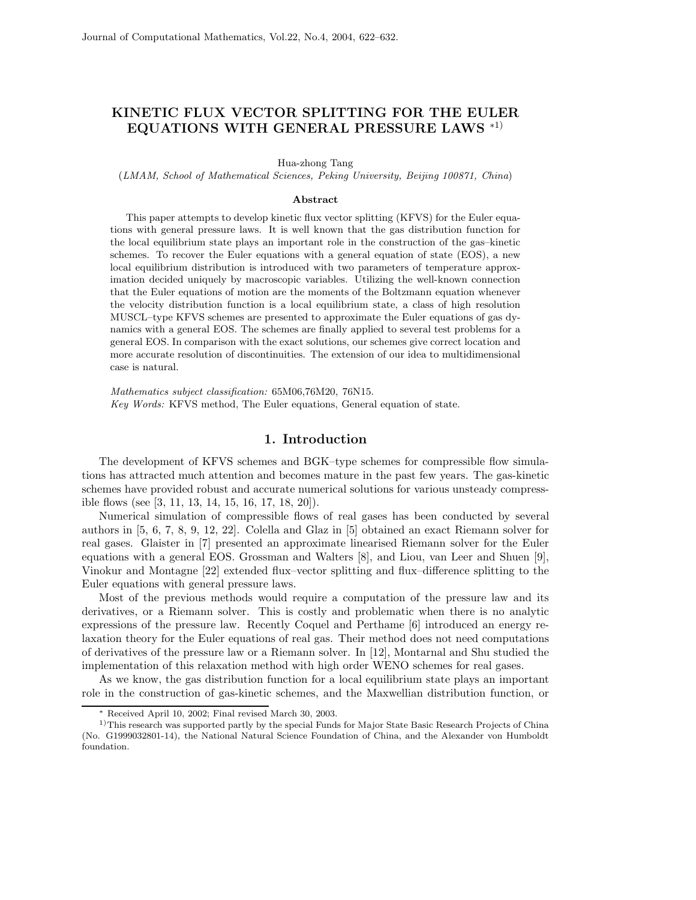## **KINETIC FLUX VECTOR SPLITTING FOR THE EULER EQUATIONS WITH GENERAL PRESSURE LAWS** <sup>∗</sup>1)

Hua-zhong Tang

(*LMAM, School of Mathematical Sciences, Peking University, Beijing 100871, China*)

## **Abstract**

This paper attempts to develop kinetic flux vector splitting (KFVS) for the Euler equations with general pressure laws. It is well known that the gas distribution function for the local equilibrium state plays an important role in the construction of the gas–kinetic schemes. To recover the Euler equations with a general equation of state (EOS), a new local equilibrium distribution is introduced with two parameters of temperature approximation decided uniquely by macroscopic variables. Utilizing the well-known connection that the Euler equations of motion are the moments of the Boltzmann equation whenever the velocity distribution function is a local equilibrium state, a class of high resolution MUSCL–type KFVS schemes are presented to approximate the Euler equations of gas dynamics with a general EOS. The schemes are finally applied to several test problems for a general EOS. In comparison with the exact solutions, our schemes give correct location and more accurate resolution of discontinuities. The extension of our idea to multidimensional case is natural.

*Mathematics subject classification:* 65M06,76M20, 76N15. *Key Words:* KFVS method, The Euler equations, General equation of state.

## **1. Introduction**

The development of KFVS schemes and BGK–type schemes for compressible flow simulations has attracted much attention and becomes mature in the past few years. The gas-kinetic schemes have provided robust and accurate numerical solutions for various unsteady compressible flows (see [3, 11, 13, 14, 15, 16, 17, 18, 20]).

Numerical simulation of compressible flows of real gases has been conducted by several authors in [5, 6, 7, 8, 9, 12, 22]. Colella and Glaz in [5] obtained an exact Riemann solver for real gases. Glaister in [7] presented an approximate linearised Riemann solver for the Euler equations with a general EOS. Grossman and Walters [8], and Liou, van Leer and Shuen [9], Vinokur and Montagne [22] extended flux–vector splitting and flux–difference splitting to the Euler equations with general pressure laws.

Most of the previous methods would require a computation of the pressure law and its derivatives, or a Riemann solver. This is costly and problematic when there is no analytic expressions of the pressure law. Recently Coquel and Perthame [6] introduced an energy relaxation theory for the Euler equations of real gas. Their method does not need computations of derivatives of the pressure law or a Riemann solver. In [12], Montarnal and Shu studied the implementation of this relaxation method with high order WENO schemes for real gases.

As we know, the gas distribution function for a local equilibrium state plays an important role in the construction of gas-kinetic schemes, and the Maxwellian distribution function, or

<sup>∗</sup> Received April 10, 2002; Final revised March 30, 2003.

<sup>&</sup>lt;sup>1)</sup>This research was supported partly by the special Funds for Major State Basic Research Projects of China (No. G1999032801-14), the National Natural Science Foundation of China, and the Alexander von Humboldt foundation.